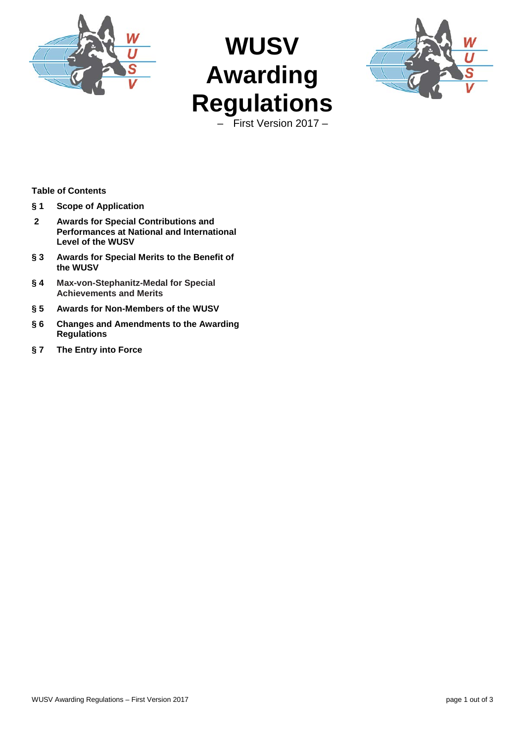

# **WUSV Awarding Regulations**



– First Version 2017 –

**Table of Contents**

- **§ 1 Scope of Application**
- **2 Awards for Special Contributions and Performances at National and International Level of the WUSV**
- **§ 3 Awards for Special Merits to the Benefit of the WUSV**
- **§ 4 Max-von-Stephanitz-Medal for Special Achievements and Merits**
- **§ 5 Awards for Non-Members of the WUSV**
- **§ 6 Changes and Amendments to the Awarding Regulations**
- **§ 7 The Entry into Force**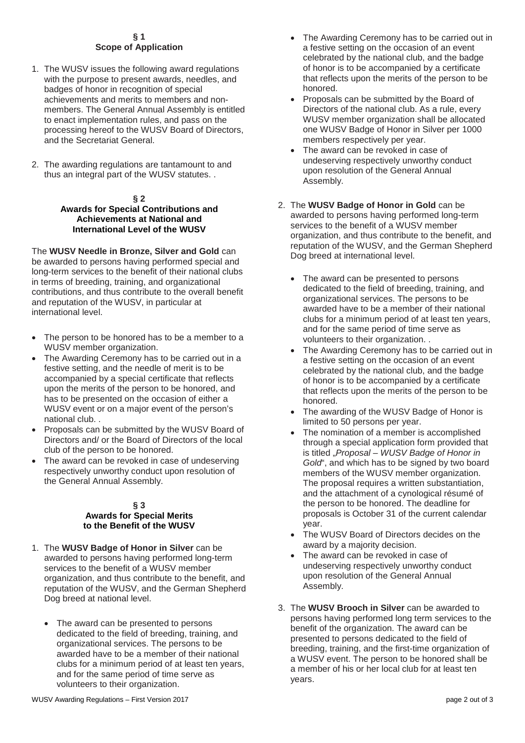### **§ 1 Scope of Application**

- 1. The WUSV issues the following award regulations with the purpose to present awards, needles, and badges of honor in recognition of special achievements and merits to members and nonmembers. The General Annual Assembly is entitled to enact implementation rules, and pass on the processing hereof to the WUSV Board of Directors, and the Secretariat General.
- 2. The awarding regulations are tantamount to and thus an integral part of the WUSV statutes. .

#### **§ 2 Awards for Special Contributions and Achievements at National and International Level of the WUSV**

The **WUSV Needle in Bronze, Silver and Gold** can be awarded to persons having performed special and long-term services to the benefit of their national clubs in terms of breeding, training, and organizational contributions, and thus contribute to the overall benefit and reputation of the WUSV, in particular at international level.

- The person to be honored has to be a member to a WUSV member organization.
- The Awarding Ceremony has to be carried out in a festive setting, and the needle of merit is to be accompanied by a special certificate that reflects upon the merits of the person to be honored, and has to be presented on the occasion of either a WUSV event or on a major event of the person's national club. .
- Proposals can be submitted by the WUSV Board of Directors and/ or the Board of Directors of the local club of the person to be honored.
- The award can be revoked in case of undeserving respectively unworthy conduct upon resolution of the General Annual Assembly.

## **§ 3 Awards for Special Merits to the Benefit of the WUSV**

- 1. The **WUSV Badge of Honor in Silver** can be awarded to persons having performed long-term services to the benefit of a WUSV member organization, and thus contribute to the benefit, and reputation of the WUSV, and the German Shepherd Dog breed at national level.
	- The award can be presented to persons dedicated to the field of breeding, training, and organizational services. The persons to be awarded have to be a member of their national clubs for a minimum period of at least ten years, and for the same period of time serve as volunteers to their organization.
- The Awarding Ceremony has to be carried out in a festive setting on the occasion of an event celebrated by the national club, and the badge of honor is to be accompanied by a certificate that reflects upon the merits of the person to be honored.
- Proposals can be submitted by the Board of Directors of the national club. As a rule, every WUSV member organization shall be allocated one WUSV Badge of Honor in Silver per 1000 members respectively per year.
- The award can be revoked in case of undeserving respectively unworthy conduct upon resolution of the General Annual Assembly.
- 2. The **WUSV Badge of Honor in Gold** can be awarded to persons having performed long-term services to the benefit of a WUSV member organization, and thus contribute to the benefit, and reputation of the WUSV, and the German Shepherd Dog breed at international level.
	- The award can be presented to persons dedicated to the field of breeding, training, and organizational services. The persons to be awarded have to be a member of their national clubs for a minimum period of at least ten years, and for the same period of time serve as volunteers to their organization. .
	- The Awarding Ceremony has to be carried out in a festive setting on the occasion of an event celebrated by the national club, and the badge of honor is to be accompanied by a certificate that reflects upon the merits of the person to be honored.
	- The awarding of the WUSV Badge of Honor is limited to 50 persons per year.
	- The nomination of a member is accomplished through a special application form provided that is titled "*Proposal – WUSV Badge of Honor in Gold*", and which has to be signed by two board members of the WUSV member organization. The proposal requires a written substantiation, and the attachment of a cynological résumé of the person to be honored. The deadline for proposals is October 31 of the current calendar year.
	- The WUSV Board of Directors decides on the award by a majority decision.
	- The award can be revoked in case of undeserving respectively unworthy conduct upon resolution of the General Annual Assembly.
- 3. The **WUSV Brooch in Silver** can be awarded to persons having performed long term services to the benefit of the organization. The award can be presented to persons dedicated to the field of breeding, training, and the first-time organization of a WUSV event. The person to be honored shall be a member of his or her local club for at least ten years.